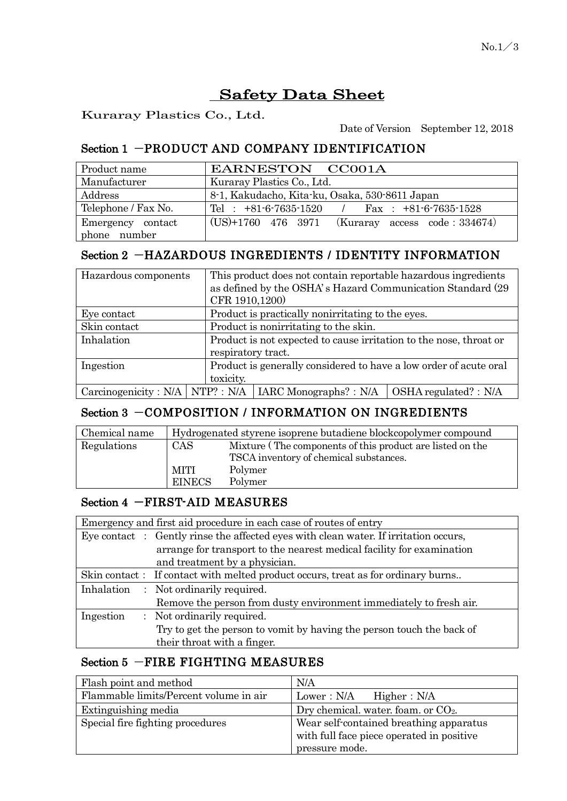# Safety Data Sheet

Kuraray Plastics Co., Ltd.

Date of Version September 12, 2018

## Section 1 -PRODUCT AND COMPANY IDENTIFICATION

| Product name        | EARNESTON CC001A                                    |
|---------------------|-----------------------------------------------------|
| Manufacturer        | Kuraray Plastics Co., Ltd.                          |
| Address             | 8-1, Kakudacho, Kita-ku, Osaka, 530-8611 Japan      |
| Telephone / Fax No. | Tel : $+81-6-7635-1520$ / Fax : $+81-6-7635-1528$   |
| Emergency contact   | $(US)+1760$ 476 3971 (Kuraray access code : 334674) |
| phone number        |                                                     |

## Section 2 -HAZARDOUS INGREDIENTS / IDENTITY INFORMATION

| Hazardous components | This product does not contain reportable hazardous ingredients<br>as defined by the OSHA's Hazard Communication Standard (29)<br>CFR 1910,1200) |                                                                                   |  |
|----------------------|-------------------------------------------------------------------------------------------------------------------------------------------------|-----------------------------------------------------------------------------------|--|
| Eye contact          | Product is practically nonirritating to the eyes.                                                                                               |                                                                                   |  |
| Skin contact         | Product is nonirritating to the skin.                                                                                                           |                                                                                   |  |
| Inhalation           | Product is not expected to cause irritation to the nose, throat or                                                                              |                                                                                   |  |
|                      | respiratory tract.                                                                                                                              |                                                                                   |  |
| Ingestion            | Product is generally considered to have a low order of acute oral                                                                               |                                                                                   |  |
|                      | toxicity.                                                                                                                                       |                                                                                   |  |
|                      |                                                                                                                                                 | Carcinogenicity: N/A   NTP?: N/A   IARC Monographs? : N/A   OSHA regulated? : N/A |  |

## Section 3 -COMPOSITION / INFORMATION ON INGREDIENTS

| Chemical name |               | Hydrogenated styrene isoprene butadiene blockcopolymer compound |
|---------------|---------------|-----------------------------------------------------------------|
| Regulations   | CAS           | Mixture (The components of this product are listed on the       |
|               |               | TSCA inventory of chemical substances.                          |
|               | MITI          | Polymer                                                         |
|               | <b>EINECS</b> | Polymer                                                         |

#### Section 4 - FIRST-AID MEASURES

| Emergency and first aid procedure in each case of routes of entry |                                                                                      |  |  |
|-------------------------------------------------------------------|--------------------------------------------------------------------------------------|--|--|
|                                                                   | Eye contact : Gently rinse the affected eyes with clean water. If irritation occurs, |  |  |
|                                                                   | arrange for transport to the nearest medical facility for examination                |  |  |
|                                                                   | and treatment by a physician.                                                        |  |  |
|                                                                   | Skin contact: If contact with melted product occurs, treat as for ordinary burns     |  |  |
|                                                                   | Inhalation : Not ordinarily required.                                                |  |  |
|                                                                   | Remove the person from dusty environment immediately to fresh air.                   |  |  |
| Ingestion                                                         | : Not ordinarily required.                                                           |  |  |
|                                                                   | Try to get the person to vomit by having the person touch the back of                |  |  |
|                                                                   | their throat with a finger.                                                          |  |  |

# Section 5 -FIRE FIGHTING MEASURES

| Flash point and method                 | N/A                                       |
|----------------------------------------|-------------------------------------------|
| Flammable limits/Percent volume in air | Lower : N/A<br>Higher: N/A                |
| Extinguishing media                    | Dry chemical. water. foam. or $CO2$ .     |
| Special fire fighting procedures       | Wear self-contained breathing apparatus   |
|                                        | with full face piece operated in positive |
|                                        | pressure mode.                            |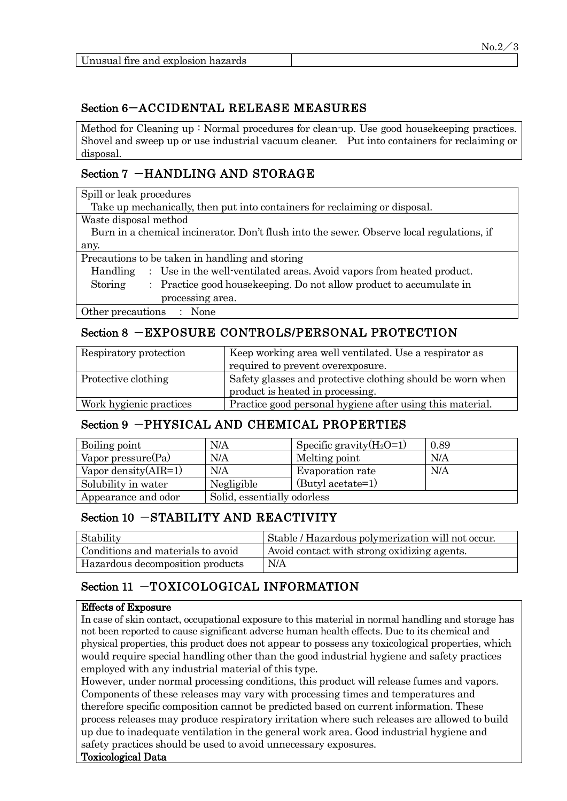|                                    | $No.2 \angle 3$ |
|------------------------------------|-----------------|
| Unusual fire and explosion hazards |                 |

#### Section 6-ACCIDENTAL RELEASE MEASURES

Method for Cleaning up : Normal procedures for clean-up. Use good housekeeping practices. Shovel and sweep up or use industrial vacuum cleaner. Put into containers for reclaiming or disposal.

## Section 7 -HANDLING AND STORAGE

| Spill or leak procedures                                                                  |  |  |
|-------------------------------------------------------------------------------------------|--|--|
| Take up mechanically, then put into containers for reclaiming or disposal.                |  |  |
| Waste disposal method                                                                     |  |  |
| Burn in a chemical incinerator. Don't flush into the sewer. Observe local regulations, if |  |  |
| any.                                                                                      |  |  |
| Precautions to be taken in handling and storing                                           |  |  |
| : Use in the well-ventilated areas. Avoid vapors from heated product.<br>Handling         |  |  |
| : Practice good house keeping. Do not allow product to accumulate in<br>Storing           |  |  |
| processing area.                                                                          |  |  |
| Other precautions<br>$\therefore$ None                                                    |  |  |

## Section 8 -EXPOSURE CONTROLS/PERSONAL PROTECTION

| Respiratory protection  | Keep working area well ventilated. Use a respirator as     |
|-------------------------|------------------------------------------------------------|
|                         | required to prevent overexposure.                          |
| Protective clothing     | Safety glasses and protective clothing should be worn when |
|                         | product is heated in processing.                           |
| Work hygienic practices | Practice good personal hygiene after using this material.  |

#### Section 9 -PHYSICAL AND CHEMICAL PROPERTIES

| Boiling point           | N/A                         | Specific gravity $(H_2O=1)$ | 0.89 |
|-------------------------|-----------------------------|-----------------------------|------|
| Vapor pressure $(Pa)$   | N/A                         | Melting point               | N/A  |
| Vapor density $(AIR=1)$ | N/A                         | Evaporation rate            | N/A  |
| Solubility in water     | Negligible                  | (Butyl acetate=1)           |      |
| Appearance and odor     | Solid, essentially odorless |                             |      |

#### Section 10 -STABILITY AND REACTIVITY

| Stability                         | Stable / Hazardous polymerization will not occur. |
|-----------------------------------|---------------------------------------------------|
| Conditions and materials to avoid | Avoid contact with strong oxidizing agents.       |
| Hazardous decomposition products  | N/A                                               |

## Section 11 -TOXICOLOGICAL INFORMATION

#### Effects of Exposure

In case of skin contact, occupational exposure to this material in normal handling and storage has not been reported to cause significant adverse human health effects. Due to its chemical and physical properties, this product does not appear to possess any toxicological properties, which would require special handling other than the good industrial hygiene and safety practices employed with any industrial material of this type.

However, under normal processing conditions, this product will release fumes and vapors. Components of these releases may vary with processing times and temperatures and therefore specific composition cannot be predicted based on current information. These process releases may produce respiratory irritation where such releases are allowed to build up due to inadequate ventilation in the general work area. Good industrial hygiene and safety practices should be used to avoid unnecessary exposures.

#### Toxicological Data